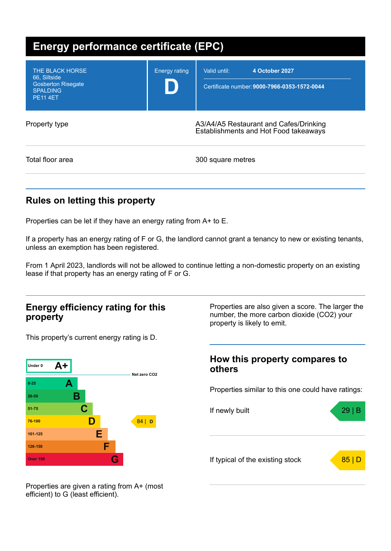| Energy performance certificate (EPC)                                                               |                      |                                                                                 |  |
|----------------------------------------------------------------------------------------------------|----------------------|---------------------------------------------------------------------------------|--|
| THE BLACK HORSE<br>66, Siltside<br><b>Gosberton Risegate</b><br><b>SPALDING</b><br><b>PE11 4ET</b> | <b>Energy rating</b> | Valid until:<br>4 October 2027<br>Certificate number: 9000-7966-0353-1572-0044  |  |
| Property type                                                                                      |                      | A3/A4/A5 Restaurant and Cafes/Drinking<br>Establishments and Hot Food takeaways |  |
| Total floor area                                                                                   |                      | 300 square metres                                                               |  |

## **Rules on letting this property**

Properties can be let if they have an energy rating from A+ to E.

If a property has an energy rating of F or G, the landlord cannot grant a tenancy to new or existing tenants, unless an exemption has been registered.

From 1 April 2023, landlords will not be allowed to continue letting a non-domestic property on an existing lease if that property has an energy rating of F or G.

### **Energy efficiency rating for this property**

This property's current energy rating is D.



Properties are also given a score. The larger the number, the more carbon dioxide (CO2) your property is likely to emit.

### **How this property compares to others**

Properties similar to this one could have ratings:



Properties are given a rating from A+ (most efficient) to G (least efficient).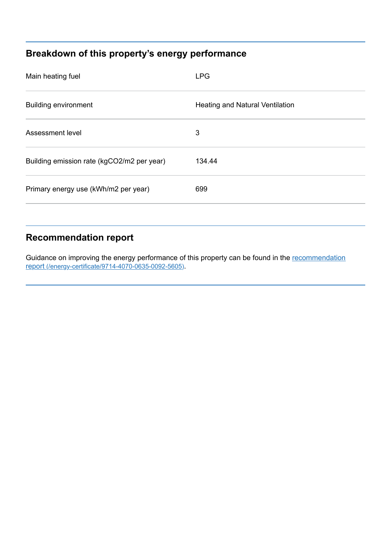# **Breakdown of this property's energy performance**

| Main heating fuel                          | <b>LPG</b>                             |
|--------------------------------------------|----------------------------------------|
| <b>Building environment</b>                | <b>Heating and Natural Ventilation</b> |
| Assessment level                           | 3                                      |
| Building emission rate (kgCO2/m2 per year) | 134.44                                 |
| Primary energy use (kWh/m2 per year)       | 699                                    |

# **Recommendation report**

Guidance on improving the energy performance of this property can be found in the recommendation report [\(/energy-certificate/9714-4070-0635-0092-5605\)](https://find-energy-certificate.service.gov.uk/energy-certificate/9714-4070-0635-0092-5605).